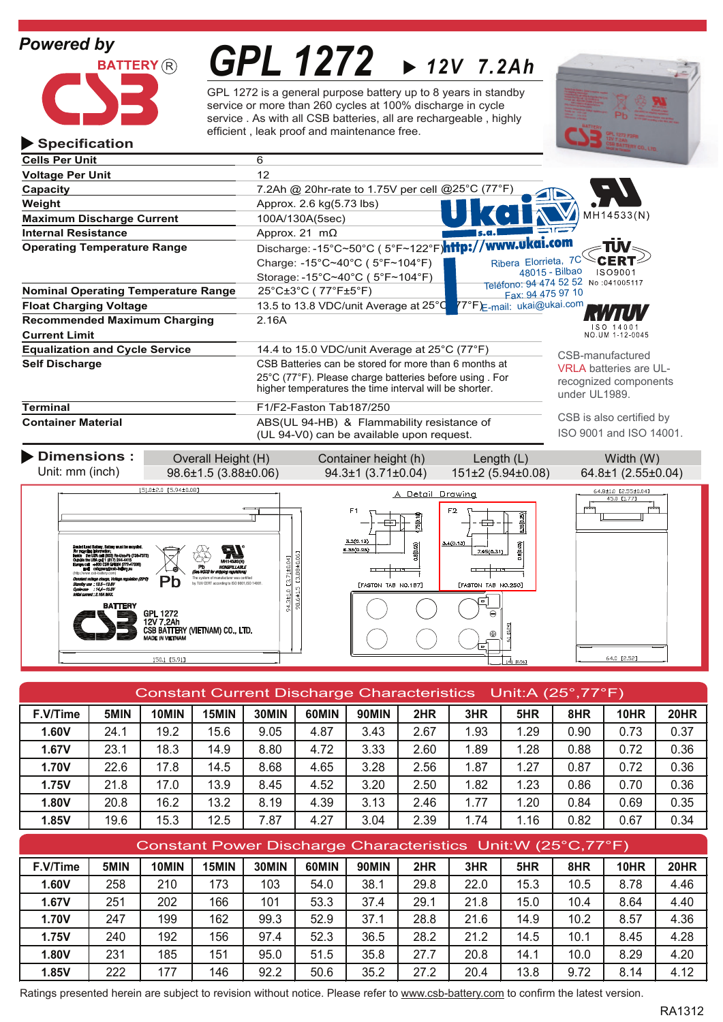**Specification**



# *GPL 1272 12V 7.2Ah*

GPL 1272 is a general purpose battery up to 8 years in standby service or more than 260 cycles at 100% discharge in cycle service . As with all CSB batteries, all are rechargeable , highly efficient , leak proof and maintenance free.



| <b>Cells Per Unit</b>                      | 6                     |                                                                   |                            |                                      |  |  |
|--------------------------------------------|-----------------------|-------------------------------------------------------------------|----------------------------|--------------------------------------|--|--|
| <b>Voltage Per Unit</b>                    | 12 <sup>2</sup>       |                                                                   |                            |                                      |  |  |
| Capacity                                   |                       | 7.2Ah @ 20hr-rate to 1.75V per cell @25°C (77°F)                  |                            |                                      |  |  |
| Weight                                     |                       | Approx. 2.6 kg(5.73 lbs)                                          |                            |                                      |  |  |
| <b>Maximum Discharge Current</b>           |                       | 100A/130A(5sec)                                                   |                            | MH14533(N)                           |  |  |
| <b>Internal Resistance</b>                 |                       | Approx. 21 $m\Omega$                                              |                            |                                      |  |  |
| <b>Operating Temperature Range</b>         |                       | Discharge: -15°C~50°C ( 5°F~122°F) <b>http://www.ukgi.com</b>     |                            | TUV                                  |  |  |
|                                            |                       | Charge: -15°C~40°C (5°F~104°F)                                    | Ribera Elorrieta, 7C       | CERT                                 |  |  |
|                                            |                       | Storage: -15°C~40°C (5°F~104°F)                                   | 48015 - Bilbao             | ISO9001                              |  |  |
| <b>Nominal Operating Temperature Range</b> |                       | 25°C±3°C (77°F±5°F)                                               | Fax: 94 475 97 10          | Teléfono: 94 474 52 52 No :041005117 |  |  |
| <b>Float Charging Voltage</b>              |                       | 13.5 to 13.8 VDC/unit Average at 25°C                             | ¶7°F)∈-mail: ukai@ukai.com |                                      |  |  |
| <b>Recommended Maximum Charging</b>        |                       | 2.16A                                                             |                            |                                      |  |  |
| <b>Current Limit</b>                       |                       |                                                                   |                            | SO 14001<br>NO.UM 1-12-0045          |  |  |
| <b>Equalization and Cycle Service</b>      |                       | 14.4 to 15.0 VDC/unit Average at $25^{\circ}$ C (77 $^{\circ}$ F) |                            | CSB-manufactured                     |  |  |
| <b>Self Discharge</b>                      |                       | CSB Batteries can be stored for more than 6 months at             |                            | <b>VRLA batteries are UL-</b>        |  |  |
|                                            |                       | 25°C (77°F). Please charge batteries before using For             |                            | recognized components                |  |  |
|                                            |                       | higher temperatures the time interval will be shorter.            |                            | under UL1989.                        |  |  |
| <b>Terminal</b>                            |                       | F1/F2-Faston Tab187/250                                           |                            |                                      |  |  |
| <b>Container Material</b>                  |                       | ABS(UL 94-HB) & Flammability resistance of                        |                            | CSB is also certified by             |  |  |
|                                            |                       | (UL 94-V0) can be available upon request.                         |                            | ISO 9001 and ISO 14001               |  |  |
| Dimensions:                                | Overall Height (H)    | Container height (h)                                              | Length $(L)$               | Width (W)                            |  |  |
| Unit: mm (inch)                            | 98.6±1.5 (3.88±0.06)  | $94.3 \pm 1$ (3.71 $\pm$ 0.04)                                    | $151\pm2(5.94\pm0.08)$     | 64.8±1 (2.55±0.04)                   |  |  |
|                                            |                       |                                                                   |                            |                                      |  |  |
|                                            | 151.0±2.0 [5.94±0.08] | A Detail Drawina                                                  |                            | 64.8±1.0 [2.55±0.04]                 |  |  |







|          | <b>Constant Current Discharge Characteristics</b><br>Unit:A $(25^\circ,77^\circ)$ F) |       |       |       |       |       |      |      |      |      |      |      |
|----------|--------------------------------------------------------------------------------------|-------|-------|-------|-------|-------|------|------|------|------|------|------|
| F.V/Time | 5MIN                                                                                 | 10MIN | 15MIN | 30MIN | 60MIN | 90MIN | 2HR  | 3HR  | 5HR  | 8HR  | 10HR | 20HR |
| 1.60V    | 24.1                                                                                 | 19.2  | 15.6  | 9.05  | 4.87  | 3.43  | 2.67 | 1.93 | 1.29 | 0.90 | 0.73 | 0.37 |
| 1.67V    | 23.1                                                                                 | 18.3  | 14.9  | 8.80  | 4.72  | 3.33  | 2.60 | 1.89 | 1.28 | 0.88 | 0.72 | 0.36 |
| 1.70V    | 22.6                                                                                 | 17.8  | 14.5  | 8.68  | 4.65  | 3.28  | 2.56 | 1.87 | 1.27 | 0.87 | 0.72 | 0.36 |
| 1.75V    | 21.8                                                                                 | 17.0  | 13.9  | 8.45  | 4.52  | 3.20  | 2.50 | 1.82 | 1.23 | 0.86 | 0.70 | 0.36 |
| 1.80V    | 20.8                                                                                 | 16.2  | 13.2  | 8.19  | 4.39  | 3.13  | 2.46 | 1.77 | 1.20 | 0.84 | 0.69 | 0.35 |
| 1.85V    | 19.6                                                                                 | 15.3  | 12.5  | 7.87  | 4.27  | 3.04  | 2.39 | 1.74 | 1.16 | 0.82 | 0.67 | 0.34 |

| Constant Power Discharge Characteristics Unit: W (25°C, 77°F) |      |       |       |       |       |       |      |      |      |      |      |      |
|---------------------------------------------------------------|------|-------|-------|-------|-------|-------|------|------|------|------|------|------|
| F.V/Time                                                      | 5MIN | 10MIN | 15MIN | 30MIN | 60MIN | 90MIN | 2HR  | 3HR  | 5HR  | 8HR  | 10HR | 20HR |
| 1.60V                                                         | 258  | 210   | 173   | 103   | 54.0  | 38.1  | 29.8 | 22.0 | 15.3 | 10.5 | 8.78 | 4.46 |
| 1.67V                                                         | 251  | 202   | 166   | 101   | 53.3  | 37.4  | 29.1 | 21.8 | 15.0 | 10.4 | 8.64 | 4.40 |
| 1.70V                                                         | 247  | 199   | 162   | 99.3  | 52.9  | 37.1  | 28.8 | 21.6 | 14.9 | 10.2 | 8.57 | 4.36 |
| 1.75V                                                         | 240  | 192   | 156   | 97.4  | 52.3  | 36.5  | 28.2 | 21.2 | 14.5 | 10.1 | 8.45 | 4.28 |
| 1.80V                                                         | 231  | 185   | 151   | 95.0  | 51.5  | 35.8  | 27.7 | 20.8 | 14.1 | 10.0 | 8.29 | 4.20 |
| 1.85V                                                         | 222  | 177   | 146   | 92.2  | 50.6  | 35.2  | 27.2 | 20.4 | 13.8 | 9.72 | 8.14 | 4.12 |

Ratings presented herein are subject to revision without notice. Please refer to www.csb-battery.com to confirm the latest version.